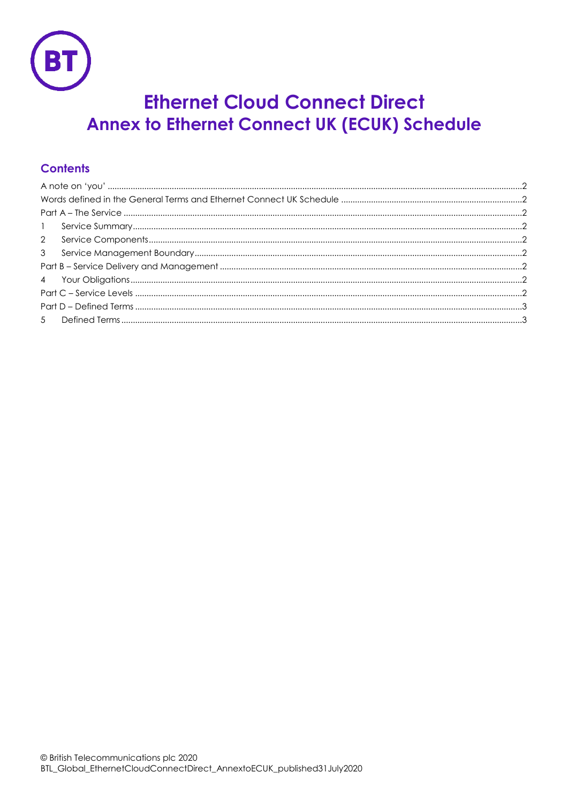

# **Ethernet Cloud Connect Direct Annex to Ethernet Connect UK (ECUK) Schedule**

## **Contents**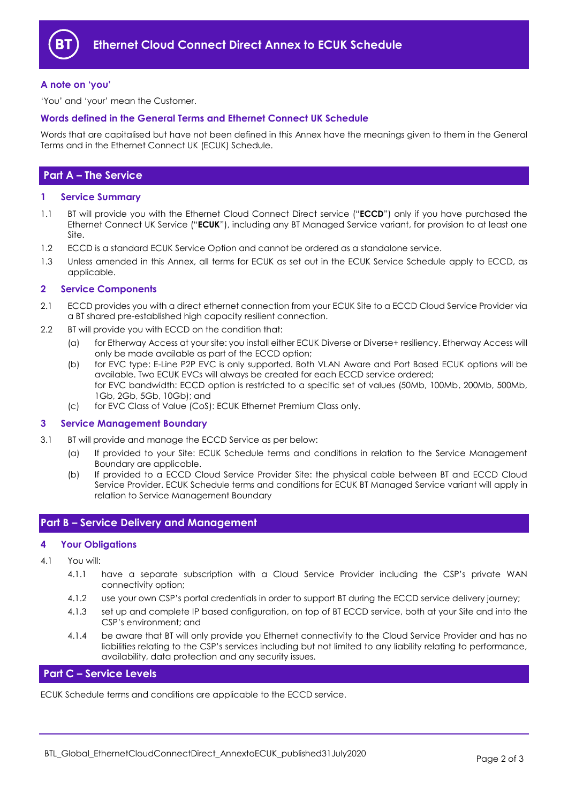

#### <span id="page-1-0"></span>**A note on 'you'**

'You' and 'your' mean the Customer.

#### <span id="page-1-1"></span>**Words defined in the General Terms and Ethernet Connect UK Schedule**

Words that are capitalised but have not been defined in this Annex have the meanings given to them in the General Terms and in the Ethernet Connect UK (ECUK) Schedule.

## <span id="page-1-2"></span>**Part A – The Service**

#### <span id="page-1-3"></span>**1 Service Summary**

- 1.1 BT will provide you with the Ethernet Cloud Connect Direct service ("**ECCD**") only if you have purchased the Ethernet Connect UK Service ("**ECUK**"), including any BT Managed Service variant, for provision to at least one Site.
- 1.2 ECCD is a standard ECUK Service Option and cannot be ordered as a standalone service.
- 1.3 Unless amended in this Annex, all terms for ECUK as set out in the ECUK Service Schedule apply to ECCD, as applicable.

#### <span id="page-1-4"></span>**2 Service Components**

- 2.1 ECCD provides you with a direct ethernet connection from your ECUK Site to a ECCD Cloud Service Provider via a BT shared pre-established high capacity resilient connection.
- 2.2 BT will provide you with ECCD on the condition that:
	- (a) for Etherway Access at your site: you install either ECUK Diverse or Diverse+ resiliency. Etherway Access will only be made available as part of the ECCD option;
	- (b) for EVC type: E-Line P2P EVC is only supported. Both VLAN Aware and Port Based ECUK options will be available. Two ECUK EVCs will always be created for each ECCD service ordered; for EVC bandwidth: ECCD option is restricted to a specific set of values (50Mb, 100Mb, 200Mb, 500Mb, 1Gb, 2Gb, 5Gb, 10Gb); and
	- (c) for EVC Class of Value (CoS): ECUK Ethernet Premium Class only.

#### <span id="page-1-5"></span>**3 Service Management Boundary**

- 3.1 BT will provide and manage the ECCD Service as per below:
	- (a) If provided to your Site: ECUK Schedule terms and conditions in relation to the Service Management Boundary are applicable.
	- (b) If provided to a ECCD Cloud Service Provider Site: the physical cable between BT and ECCD Cloud Service Provider. ECUK Schedule terms and conditions for ECUK BT Managed Service variant will apply in relation to Service Management Boundary

### <span id="page-1-6"></span>**Part B – Service Delivery and Management**

#### <span id="page-1-7"></span>**4 Your Obligations**

- 4.1 You will:
	- 4.1.1 have a separate subscription with a Cloud Service Provider including the CSP's private WAN connectivity option;
	- 4.1.2 use your own CSP's portal credentials in order to support BT during the ECCD service delivery journey;
	- 4.1.3 set up and complete IP based configuration, on top of BT ECCD service, both at your Site and into the CSP's environment; and
	- 4.1.4 be aware that BT will only provide you Ethernet connectivity to the Cloud Service Provider and has no liabilities relating to the CSP's services including but not limited to any liability relating to performance, availability, data protection and any security issues.

## <span id="page-1-8"></span>**Part C – Service Levels**

ECUK Schedule terms and conditions are applicable to the ECCD service.